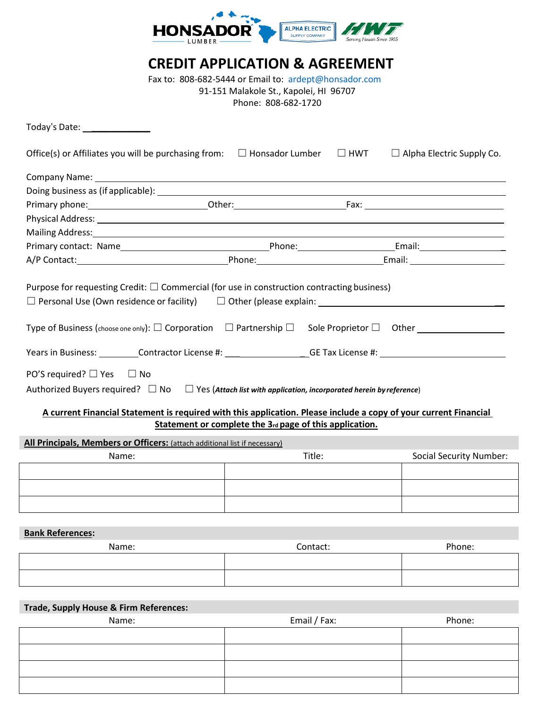

# **CREDIT APPLICATION & AGREEMENT**

Fax to: 808-682-5444 or Email to: [ardept@honsador.com](mailto:ardept@honsador.com) 91-151 Malakole St., Kapolei, HI 96707 Phone: 808-682-1720

| $\square$ HWT<br>Office(s) or Affiliates you will be purchasing from: $\Box$ Honsador Lumber<br>$\Box$ Alpha Electric Supply Co.<br>Mailing Address: 1988 and 2008 and 2008 and 2008 and 2008 and 2008 and 2008 and 2008 and 2008 and 2008 and 200<br>Purpose for requesting Credit: $\square$ Commercial (for use in construction contracting business)<br>$\Box$ Personal Use (Own residence or facility) $\Box$ Other (please explain: $\Box$<br>Years in Business: Contractor License #: Contractor License #: Contractor License #: Contractor License #: Contractor License #: Contractor License #: Contractor License #: Contractor License #: Contractor All and All and<br>PO'S required? $\Box$ Yes $\Box$ No<br>Authorized Buyers required? $\square$ No $\square$ Yes (Attach list with application, incorporated herein by reference)<br>A current Financial Statement is required with this application. Please include a copy of your current Financial |
|-------------------------------------------------------------------------------------------------------------------------------------------------------------------------------------------------------------------------------------------------------------------------------------------------------------------------------------------------------------------------------------------------------------------------------------------------------------------------------------------------------------------------------------------------------------------------------------------------------------------------------------------------------------------------------------------------------------------------------------------------------------------------------------------------------------------------------------------------------------------------------------------------------------------------------------------------------------------------|
|                                                                                                                                                                                                                                                                                                                                                                                                                                                                                                                                                                                                                                                                                                                                                                                                                                                                                                                                                                         |
|                                                                                                                                                                                                                                                                                                                                                                                                                                                                                                                                                                                                                                                                                                                                                                                                                                                                                                                                                                         |
|                                                                                                                                                                                                                                                                                                                                                                                                                                                                                                                                                                                                                                                                                                                                                                                                                                                                                                                                                                         |
|                                                                                                                                                                                                                                                                                                                                                                                                                                                                                                                                                                                                                                                                                                                                                                                                                                                                                                                                                                         |
|                                                                                                                                                                                                                                                                                                                                                                                                                                                                                                                                                                                                                                                                                                                                                                                                                                                                                                                                                                         |
|                                                                                                                                                                                                                                                                                                                                                                                                                                                                                                                                                                                                                                                                                                                                                                                                                                                                                                                                                                         |
|                                                                                                                                                                                                                                                                                                                                                                                                                                                                                                                                                                                                                                                                                                                                                                                                                                                                                                                                                                         |
|                                                                                                                                                                                                                                                                                                                                                                                                                                                                                                                                                                                                                                                                                                                                                                                                                                                                                                                                                                         |
|                                                                                                                                                                                                                                                                                                                                                                                                                                                                                                                                                                                                                                                                                                                                                                                                                                                                                                                                                                         |
| Statement or complete the 3rd page of this application.                                                                                                                                                                                                                                                                                                                                                                                                                                                                                                                                                                                                                                                                                                                                                                                                                                                                                                                 |
| All Principals, Members or Officers: (attach additional list if necessary)                                                                                                                                                                                                                                                                                                                                                                                                                                                                                                                                                                                                                                                                                                                                                                                                                                                                                              |
| Title:<br><b>Social Security Number:</b><br>Name:                                                                                                                                                                                                                                                                                                                                                                                                                                                                                                                                                                                                                                                                                                                                                                                                                                                                                                                       |
|                                                                                                                                                                                                                                                                                                                                                                                                                                                                                                                                                                                                                                                                                                                                                                                                                                                                                                                                                                         |
|                                                                                                                                                                                                                                                                                                                                                                                                                                                                                                                                                                                                                                                                                                                                                                                                                                                                                                                                                                         |
|                                                                                                                                                                                                                                                                                                                                                                                                                                                                                                                                                                                                                                                                                                                                                                                                                                                                                                                                                                         |
|                                                                                                                                                                                                                                                                                                                                                                                                                                                                                                                                                                                                                                                                                                                                                                                                                                                                                                                                                                         |

**Bank References:**

| Name: | Contact: | Phone: |
|-------|----------|--------|
|       |          |        |
|       |          |        |

# **Trade, Supply House & Firm References:**

Name: Name: Phone: Email / Fax: Phone: Phone: Phone: Phone: Phone: Phone: Phone: Phone: Phone: Phone: Phone: Phone: Phone: Phone: Phone: Phone: Phone: Phone: Phone: Phone: Phone: Phone: Phone: Phone: Phone: Phone: Phone: P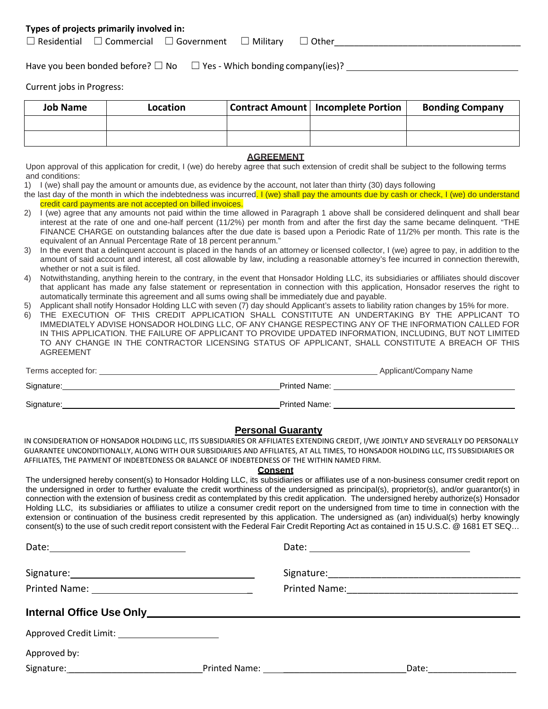# **Types of projects primarily involved in:**

| $\Box$ Residential | Commercial | $\Box$ Government | Military | Other |  |
|--------------------|------------|-------------------|----------|-------|--|
|--------------------|------------|-------------------|----------|-------|--|

Have you been bonded before?  $\square$  No  $\square$  Yes - Which bonding company(ies)?

Current jobs in Progress:

| <b>Job Name</b> | Location | <b>Contract Amount   Incomplete Portion</b> | <b>Bonding Company</b> |
|-----------------|----------|---------------------------------------------|------------------------|
|                 |          |                                             |                        |
|                 |          |                                             |                        |

### **AGREEMENT**

Upon approval of this application for credit, I (we) do hereby agree that such extension of credit shall be subject to the following terms and conditions:

1) I (we) shall pay the amount or amounts due, as evidence by the account, not later than thirty (30) days following

the last day of the month in which the indebtedness was incurred. I (we) shall pay the amounts due by cash or check, I (we) do understand credit card payments are not accepted on billed invoices.

- 2) I (we) agree that any amounts not paid within the time allowed in Paragraph 1 above shall be considered delinquent and shall bear interest at the rate of one and one-half percent (11/2%) per month from and after the first day the same became delinquent. "THE FINANCE CHARGE on outstanding balances after the due date is based upon a Periodic Rate of 11/2% per month. This rate is the equivalent of an Annual Percentage Rate of 18 percent perannum."
- 3) In the event that a delinquent account is placed in the hands of an attorney or licensed collector, I (we) agree to pay, in addition to the amount of said account and interest, all cost allowable by law, including a reasonable attorney's fee incurred in connection therewith, whether or not a suit is filed.
- 4) Notwithstanding, anything herein to the contrary, in the event that Honsador Holding LLC, its subsidiaries or affiliates should discover that applicant has made any false statement or representation in connection with this application, Honsador reserves the right to automatically terminate this agreement and all sums owing shall be immediately due and payable.
- 5) Applicant shall notify Honsador Holding LLC with seven (7) day should Applicant's assets to liability ration changes by 15% for more.
- 6) THE EXECUTION OF THIS CREDIT APPLICATION SHALL CONSTITUTE AN UNDERTAKING BY THE APPLICANT TO IMMEDIATELY ADVISE HONSADOR HOLDING LLC, OF ANY CHANGE RESPECTING ANY OF THE INFORMATION CALLED FOR IN THIS APPLICATION. THE FAILURE OF APPLICANT TO PROVIDE UPDATED INFORMATION, INCLUDING, BUT NOT LIMITED TO ANY CHANGE IN THE CONTRACTOR LICENSING STATUS OF APPLICANT, SHALL CONSTITUTE A BREACH OF THIS AGREEMENT

| Terms accepted for: |                      | Applicant/Company Name |
|---------------------|----------------------|------------------------|
| Signature:          | <b>Printed Name:</b> |                        |
| Signature:          | Printed Name:        |                        |

# **Personal Guaranty**

IN CONSIDERATION OF HONSADOR HOLDING LLC, ITS SUBSIDIARIES OR AFFILIATES EXTENDING CREDIT, I/WE JOINTLY AND SEVERALLY DO PERSONALLY GUARANTEE UNCONDITIONALLY, ALONG WITH OUR SUBSIDIARIES AND AFFILIATES, AT ALL TIMES, TO HONSADOR HOLDING LLC, ITS SUBSIDIARIES OR AFFILIATES, THE PAYMENT OF INDEBTEDNESS OR BALANCE OF INDEBTEDNESS OF THE WITHIN NAMED FIRM.

#### **Consent**

The undersigned hereby consent(s) to Honsador Holding LLC, its subsidiaries or affiliates use of a non-business consumer credit report on the undersigned in order to further evaluate the credit worthiness of the undersigned as principal(s), proprietor(s), and/or guarantor(s) in connection with the extension of business credit as contemplated by this credit application. The undersigned hereby authorize(s) Honsador Holding LLC, its subsidiaries or affiliates to utilize a consumer credit report on the undersigned from time to time in connection with the extension or continuation of the business credit represented by this application. The undersigned as (an) individual(s) herby knowingly consent(s) to the use of such credit report consistent with the Federal Fair Credit Reporting Act as contained in 15 U.S.C. @ 1681 ET SEQ...

| Printed Name: <u>___________________________________</u>                                                        |  | Printed Name: <u>_________________________________</u> |  |
|-----------------------------------------------------------------------------------------------------------------|--|--------------------------------------------------------|--|
| Internal Office Use Only Manual Communication of the USA of the USA of the USA of the USA of the USA of the USA |  |                                                        |  |
| Approved Credit Limit: ________________________                                                                 |  |                                                        |  |
| Approved by:                                                                                                    |  |                                                        |  |
|                                                                                                                 |  | Date:______________                                    |  |